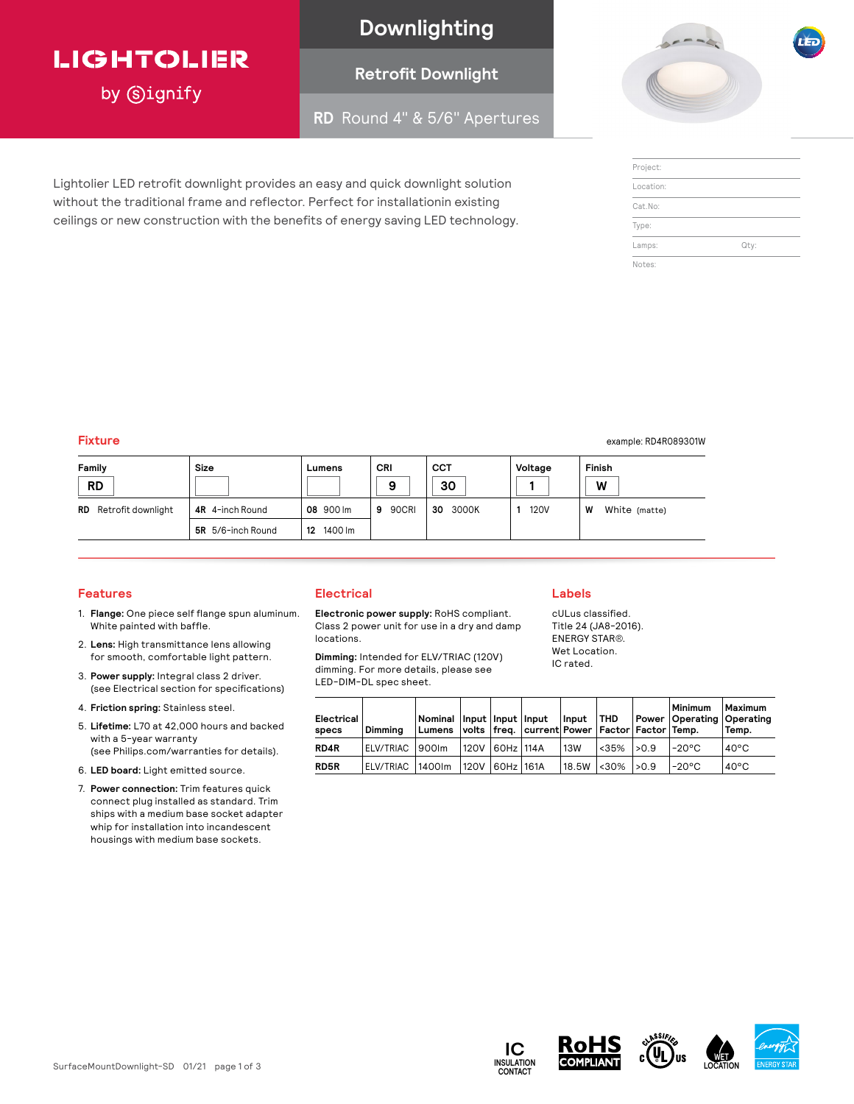## **LIGHTOLIER**

by Signify

## **Downlighting**

## **Retrofit Downlight**

**RD** Round 4" & 5/6" Apertures



| Project:  |      |
|-----------|------|
| Location: |      |
| Cat.No:   |      |
| Type:     |      |
| Lamps:    | Qty: |
| Notes:    |      |

**Fixture** example: RD4R089301W and the state of the state of the state of the state of the state of the state of the state of the state of the state of the state of the state of the state of the state of the state of the s

| Size<br>Family<br><b>RD</b>  |                          | Lumens        | CRI<br>9   | <b>CCT</b><br>30 | Voltage     | Finish<br>W        |
|------------------------------|--------------------------|---------------|------------|------------------|-------------|--------------------|
| <b>RD</b> Retrofit downlight | 4R 4-inch Round          | 08 900 lm     | 90CRI<br>9 | 3000K<br>30      | <b>120V</b> | W<br>White (matte) |
|                              | <b>5R</b> 5/6-inch Round | 1400 lm<br>12 |            |                  |             |                    |

#### **Features**

- 1. **Flange:** One piece self flange spun aluminum. White painted with baffle.
- 2. **Lens:** High transmittance lens allowing for smooth, comfortable light pattern.
- 3. **Power supply:** Integral class 2 driver. (see Electrical section for specifications)
- 4. **Friction spring:** Stainless steel.
- 5. **Lifetime:** L70 at 42,000 hours and backed with a 5-year warranty (see Philips.com/warranties for details).
- 6. **LED board:** Light emitted source.
- 7. **Power connection:** Trim features quick connect plug installed as standard. Trim ships with a medium base socket adapter whip for installation into incandescent housings with medium base sockets.

### **Electrical**

Lightolier LED retrofit downlight provides an easy and quick downlight solution without the traditional frame and reflector. Perfect for installationin existing ceilings or new construction with the benefits of energy saving LED technology.

> **Electronic power supply:** RoHS compliant. Class 2 power unit for use in a dry and damp locations.

**Dimming:** Intended for ELV/TRIAC (120V) dimming. For more details, please see LED-DIM-DL spec sheet.

| Electrical I<br>specs | Dimmina           | Nominal   Input   Input   Input  <br>Lumens   volts   freq.   current  Power   Factor   Factor   Temp. |                 | Input THD |                        | Minimum<br>Power   Operating   Operating | Maximum<br>Temp. |
|-----------------------|-------------------|--------------------------------------------------------------------------------------------------------|-----------------|-----------|------------------------|------------------------------------------|------------------|
| RD4R                  | ELV/TRIAC 1900Im  |                                                                                                        | 1120V 60Hz 114A | 13W       | $ $ < 35% $ $ > 0.9    | l-20°C                                   | $40^{\circ}$ C   |
| <b>RD5R</b>           | ELV/TRIAC 11400Im |                                                                                                        | 120V 60Hz 161A  |           | $18.5W$ < $30\%$ > 0.9 | l-20°C                                   | $40^{\circ}$ C   |

#### **Labels**

cULus classified. Title 24 (JA8-2016). ENERGY STAR**®**. Wet Location. IC rated.

| lectrical l<br>pecs | Dimmina                             | Nominal Input Input Input |                | $ $ Input $ $ THD |                          |                                                                                                  | Minimum<br>Power   Operating   Operating | <b>Maximum</b><br>Temp. |
|---------------------|-------------------------------------|---------------------------|----------------|-------------------|--------------------------|--------------------------------------------------------------------------------------------------|------------------------------------------|-------------------------|
| D4R                 | ELV/TRIAC 900Im                     |                           | 120V 60Hz 114A | l 13W             |                          | Lumens   volts   freq.   current   Power   Factor   Factor   Temp.<br>l-20°C<br>$<35\%$   $>0.9$ |                                          | $40^{\circ}$ C          |
| :D5R                | ELV/TRIAC  1400Im  120V  60Hz  161A |                           |                |                   | $18.5W$ < 30% $\geq 0.9$ |                                                                                                  | $1-20^{\circ}$ C                         | $40^{\circ}$ C          |



**IC**

**CONTACT**





**WET**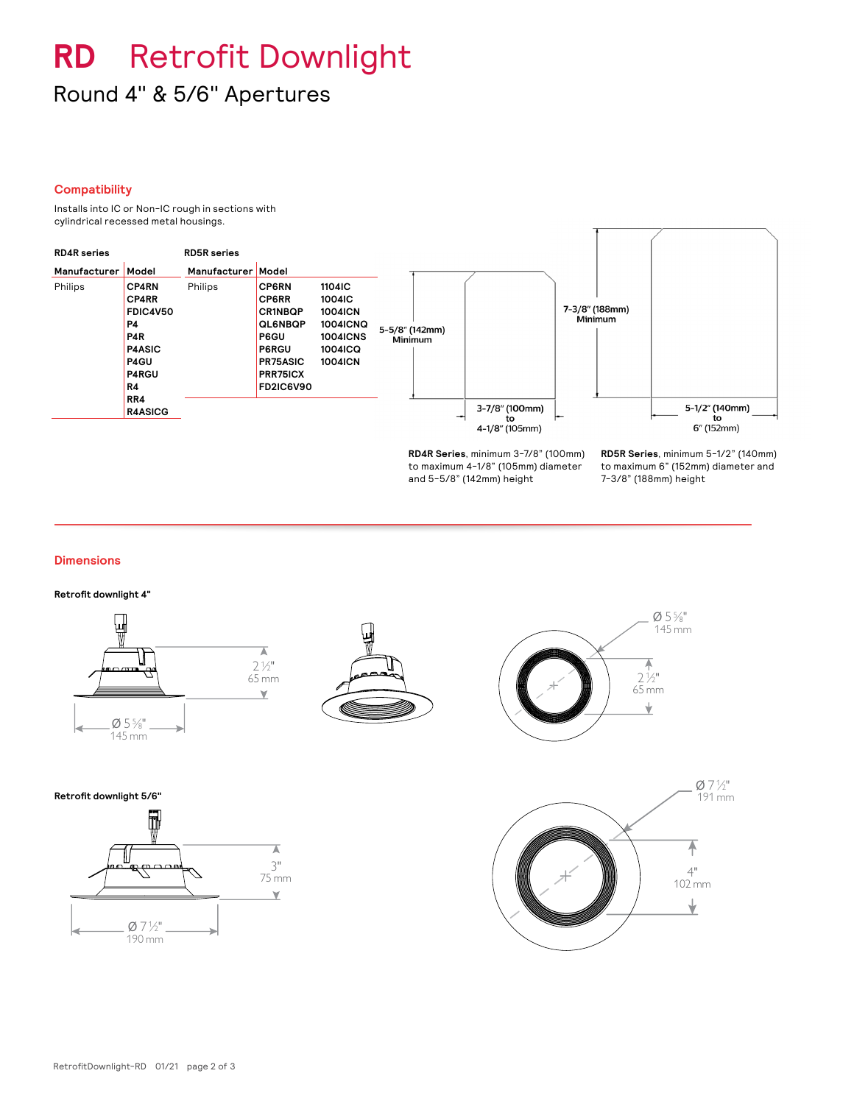# **RD** Retrofit Downlight Round 4" & 5/6" Apertures

#### **Compatibility**

Installs into IC or Non-IC rough in sections with cylindrical recessed metal housings.



**RD4R Series**, minimum 3-7/8" (100mm) to maximum 4-1/8" (105mm) diameter and 5-5/8" (142mm) height

**RD5R Series**, minimum 5-1/2" (140mm) to maximum 6" (152mm) diameter and 7-3/8" (188mm) height

#### **Dimensions**

**Retrofit downlight 4"**